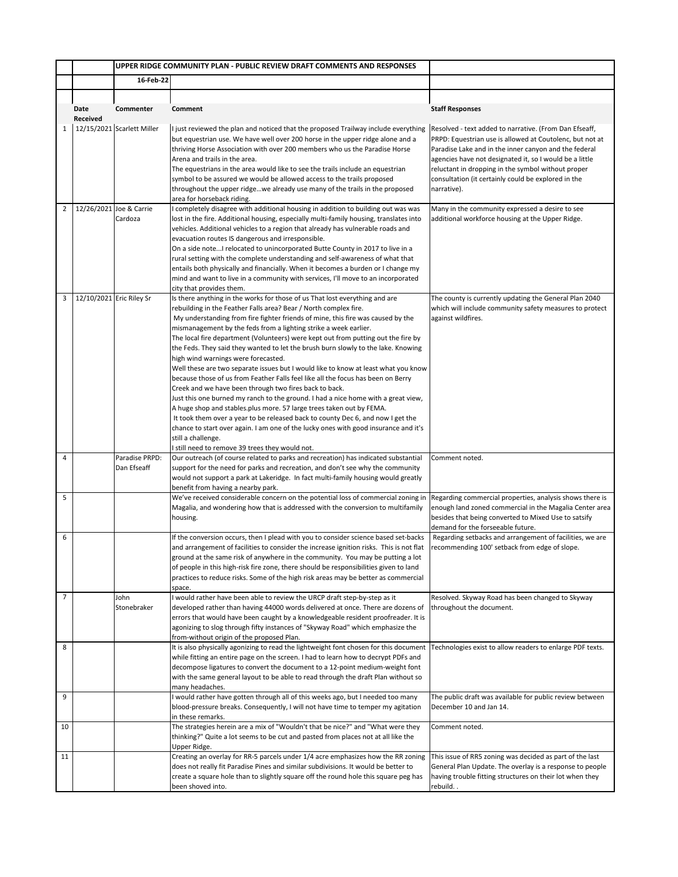|                |                          | UPPER RIDGE COMMUNITY PLAN - PUBLIC REVIEW DRAFT COMMENTS AND RESPONSES |                                                                                                                                                                                                                                                                                                                                                                                                                                                                                                                                                                                                                                                                                                                                                                                                                                                                                                                                                                                                                                                                                                                                                                             |                                                                                                                                                                                                                                                                                                                                                                    |
|----------------|--------------------------|-------------------------------------------------------------------------|-----------------------------------------------------------------------------------------------------------------------------------------------------------------------------------------------------------------------------------------------------------------------------------------------------------------------------------------------------------------------------------------------------------------------------------------------------------------------------------------------------------------------------------------------------------------------------------------------------------------------------------------------------------------------------------------------------------------------------------------------------------------------------------------------------------------------------------------------------------------------------------------------------------------------------------------------------------------------------------------------------------------------------------------------------------------------------------------------------------------------------------------------------------------------------|--------------------------------------------------------------------------------------------------------------------------------------------------------------------------------------------------------------------------------------------------------------------------------------------------------------------------------------------------------------------|
|                |                          | 16-Feb-22                                                               |                                                                                                                                                                                                                                                                                                                                                                                                                                                                                                                                                                                                                                                                                                                                                                                                                                                                                                                                                                                                                                                                                                                                                                             |                                                                                                                                                                                                                                                                                                                                                                    |
|                |                          |                                                                         |                                                                                                                                                                                                                                                                                                                                                                                                                                                                                                                                                                                                                                                                                                                                                                                                                                                                                                                                                                                                                                                                                                                                                                             |                                                                                                                                                                                                                                                                                                                                                                    |
|                | Date<br>Received         | Commenter                                                               | Comment                                                                                                                                                                                                                                                                                                                                                                                                                                                                                                                                                                                                                                                                                                                                                                                                                                                                                                                                                                                                                                                                                                                                                                     | <b>Staff Responses</b>                                                                                                                                                                                                                                                                                                                                             |
| $\mathbf{1}$   |                          | 12/15/2021 Scarlett Miller                                              | I just reviewed the plan and noticed that the proposed Trailway include everything<br>but equestrian use. We have well over 200 horse in the upper ridge alone and a<br>thriving Horse Association with over 200 members who us the Paradise Horse<br>Arena and trails in the area.<br>The equestrians in the area would like to see the trails include an equestrian<br>symbol to be assured we would be allowed access to the trails proposed<br>throughout the upper ridgewe already use many of the trails in the proposed<br>area for horseback riding.                                                                                                                                                                                                                                                                                                                                                                                                                                                                                                                                                                                                                | Resolved - text added to narrative. (From Dan Efseaff,<br>PRPD: Equestrian use is allowed at Coutolenc, but not at<br>Paradise Lake and in the inner canyon and the federal<br>agencies have not designated it, so I would be a little<br>reluctant in dropping in the symbol without proper<br>consultation (it certainly could be explored in the<br>narrative). |
| $\overline{2}$ |                          | 12/26/2021 Joe & Carrie<br>Cardoza                                      | I completely disagree with additional housing in addition to building out was was                                                                                                                                                                                                                                                                                                                                                                                                                                                                                                                                                                                                                                                                                                                                                                                                                                                                                                                                                                                                                                                                                           | Many in the community expressed a desire to see                                                                                                                                                                                                                                                                                                                    |
|                |                          |                                                                         | lost in the fire. Additional housing, especially multi-family housing, translates into<br>vehicles. Additional vehicles to a region that already has vulnerable roads and<br>evacuation routes IS dangerous and irresponsible.<br>On a side noteI relocated to unincorporated Butte County in 2017 to live in a<br>rural setting with the complete understanding and self-awareness of what that<br>entails both physically and financially. When it becomes a burden or I change my<br>mind and want to live in a community with services, I'll move to an incorporated<br>city that provides them.                                                                                                                                                                                                                                                                                                                                                                                                                                                                                                                                                                        | additional workforce housing at the Upper Ridge.                                                                                                                                                                                                                                                                                                                   |
| 3              | 12/10/2021 Eric Riley Sr |                                                                         | Is there anything in the works for those of us That lost everything and are<br>rebuilding in the Feather Falls area? Bear / North complex fire.<br>My understanding from fire fighter friends of mine, this fire was caused by the<br>mismanagement by the feds from a lighting strike a week earlier.<br>The local fire department (Volunteers) were kept out from putting out the fire by<br>the Feds. They said they wanted to let the brush burn slowly to the lake. Knowing<br>high wind warnings were forecasted.<br>Well these are two separate issues but I would like to know at least what you know<br>because those of us from Feather Falls feel like all the focus has been on Berry<br>Creek and we have been through two fires back to back.<br>Just this one burned my ranch to the ground. I had a nice home with a great view,<br>A huge shop and stables.plus more. 57 large trees taken out by FEMA.<br>It took them over a year to be released back to county Dec 6, and now I get the<br>chance to start over again. I am one of the lucky ones with good insurance and it's<br>still a challenge.<br>I still need to remove 39 trees they would not. | The county is currently updating the General Plan 2040<br>which will include community safety measures to protect<br>against wildfires.                                                                                                                                                                                                                            |
| $\overline{4}$ |                          | Paradise PRPD:                                                          | Our outreach (of course related to parks and recreation) has indicated substantial                                                                                                                                                                                                                                                                                                                                                                                                                                                                                                                                                                                                                                                                                                                                                                                                                                                                                                                                                                                                                                                                                          | Comment noted.                                                                                                                                                                                                                                                                                                                                                     |
|                |                          | Dan Efseaff                                                             | support for the need for parks and recreation, and don't see why the community<br>would not support a park at Lakeridge. In fact multi-family housing would greatly<br>benefit from having a nearby park.                                                                                                                                                                                                                                                                                                                                                                                                                                                                                                                                                                                                                                                                                                                                                                                                                                                                                                                                                                   |                                                                                                                                                                                                                                                                                                                                                                    |
| 5              |                          |                                                                         | We've received considerable concern on the potential loss of commercial zoning in<br>Magalia, and wondering how that is addressed with the conversion to multifamily<br>housing.                                                                                                                                                                                                                                                                                                                                                                                                                                                                                                                                                                                                                                                                                                                                                                                                                                                                                                                                                                                            | Regarding commercial properties, analysis shows there is<br>enough land zoned commercial in the Magalia Center area<br>besides that being converted to Mixed Use to satsify<br>demand for the forseeable future.                                                                                                                                                   |
| 6              |                          |                                                                         | If the conversion occurs, then I plead with you to consider science based set-backs<br>and arrangement of facilities to consider the increase ignition risks. This is not flat<br>ground at the same risk of anywhere in the community. You may be putting a lot<br>of people in this high-risk fire zone, there should be responsibilities given to land<br>practices to reduce risks. Some of the high risk areas may be better as commercial<br>space.                                                                                                                                                                                                                                                                                                                                                                                                                                                                                                                                                                                                                                                                                                                   | Regarding setbacks and arrangement of facilities, we are<br>recommending 100' setback from edge of slope.                                                                                                                                                                                                                                                          |
| $\overline{7}$ |                          | John<br>Stonebraker                                                     | would rather have been able to review the URCP draft step-by-step as it<br>developed rather than having 44000 words delivered at once. There are dozens of<br>errors that would have been caught by a knowledgeable resident proofreader. It is<br>agonizing to slog through fifty instances of "Skyway Road" which emphasize the<br>from-without origin of the proposed Plan.                                                                                                                                                                                                                                                                                                                                                                                                                                                                                                                                                                                                                                                                                                                                                                                              | Resolved. Skyway Road has been changed to Skyway<br>throughout the document.                                                                                                                                                                                                                                                                                       |
| 8              |                          |                                                                         | It is also physically agonizing to read the lightweight font chosen for this document<br>while fitting an entire page on the screen. I had to learn how to decrypt PDFs and<br>decompose ligatures to convert the document to a 12-point medium-weight font<br>with the same general layout to be able to read through the draft Plan without so<br>many headaches.                                                                                                                                                                                                                                                                                                                                                                                                                                                                                                                                                                                                                                                                                                                                                                                                         | Technologies exist to allow readers to enlarge PDF texts.                                                                                                                                                                                                                                                                                                          |
| 9              |                          |                                                                         | I would rather have gotten through all of this weeks ago, but I needed too many<br>blood-pressure breaks. Consequently, I will not have time to temper my agitation<br>in these remarks.                                                                                                                                                                                                                                                                                                                                                                                                                                                                                                                                                                                                                                                                                                                                                                                                                                                                                                                                                                                    | The public draft was available for public review between<br>December 10 and Jan 14.                                                                                                                                                                                                                                                                                |
| 10             |                          |                                                                         | The strategies herein are a mix of "Wouldn't that be nice?" and "What were they<br>thinking?" Quite a lot seems to be cut and pasted from places not at all like the<br>Upper Ridge.                                                                                                                                                                                                                                                                                                                                                                                                                                                                                                                                                                                                                                                                                                                                                                                                                                                                                                                                                                                        | Comment noted.                                                                                                                                                                                                                                                                                                                                                     |
| 11             |                          |                                                                         | Creating an overlay for RR-5 parcels under 1/4 acre emphasizes how the RR zoning<br>does not really fit Paradise Pines and similar subdivisions. It would be better to<br>create a square hole than to slightly square off the round hole this square peg has<br>been shoved into.                                                                                                                                                                                                                                                                                                                                                                                                                                                                                                                                                                                                                                                                                                                                                                                                                                                                                          | This issue of RR5 zoning was decided as part of the last<br>General Plan Update. The overlay is a response to people<br>having trouble fitting structures on their lot when they<br>rebuild                                                                                                                                                                        |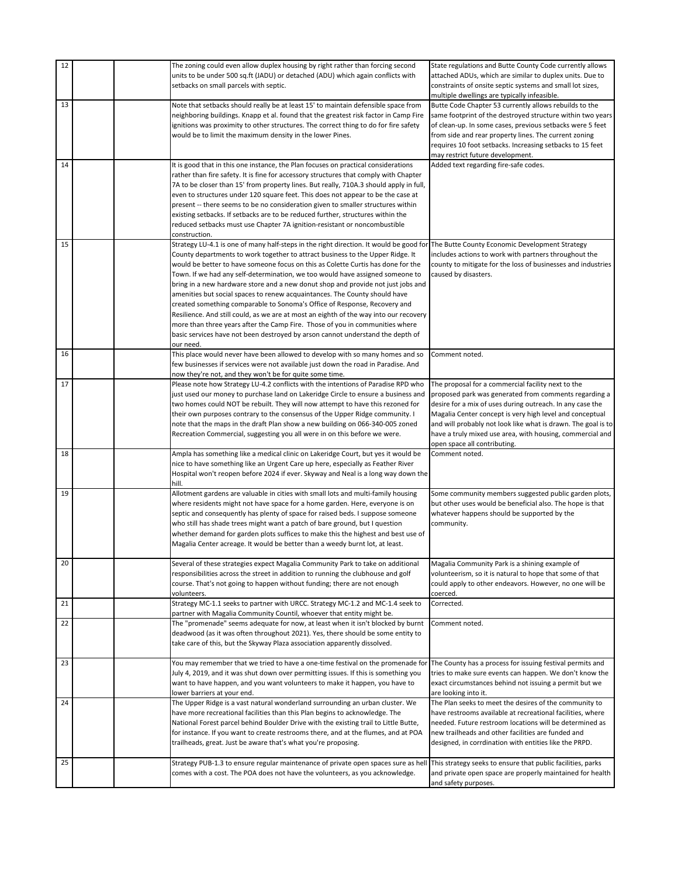| 12 |  | The zoning could even allow duplex housing by right rather than forcing second<br>units to be under 500 sq.ft (JADU) or detached (ADU) which again conflicts with<br>setbacks on small parcels with septic.             | State regulations and Butte County Code currently allows<br>attached ADUs, which are similar to duplex units. Due to<br>constraints of onsite septic systems and small lot sizes,<br>multiple dwellings are typically infeasible. |
|----|--|-------------------------------------------------------------------------------------------------------------------------------------------------------------------------------------------------------------------------|-----------------------------------------------------------------------------------------------------------------------------------------------------------------------------------------------------------------------------------|
| 13 |  | Note that setbacks should really be at least 15' to maintain defensible space from                                                                                                                                      | Butte Code Chapter 53 currently allows rebuilds to the                                                                                                                                                                            |
|    |  | neighboring buildings. Knapp et al. found that the greatest risk factor in Camp Fire                                                                                                                                    | same footprint of the destroyed structure within two years                                                                                                                                                                        |
|    |  | ignitions was proximity to other structures. The correct thing to do for fire safety<br>would be to limit the maximum density in the lower Pines.                                                                       | of clean-up. In some cases, previous setbacks were 5 feet<br>from side and rear property lines. The current zoning                                                                                                                |
|    |  |                                                                                                                                                                                                                         | requires 10 foot setbacks. Increasing setbacks to 15 feet                                                                                                                                                                         |
|    |  |                                                                                                                                                                                                                         | may restrict future development.                                                                                                                                                                                                  |
| 14 |  | It is good that in this one instance, the Plan focuses on practical considerations                                                                                                                                      | Added text regarding fire-safe codes.                                                                                                                                                                                             |
|    |  | rather than fire safety. It is fine for accessory structures that comply with Chapter                                                                                                                                   |                                                                                                                                                                                                                                   |
|    |  | 7A to be closer than 15' from property lines. But really, 710A.3 should apply in full,<br>even to structures under 120 square feet. This does not appear to be the case at                                              |                                                                                                                                                                                                                                   |
|    |  | present -- there seems to be no consideration given to smaller structures within                                                                                                                                        |                                                                                                                                                                                                                                   |
|    |  | existing setbacks. If setbacks are to be reduced further, structures within the                                                                                                                                         |                                                                                                                                                                                                                                   |
|    |  | reduced setbacks must use Chapter 7A ignition-resistant or noncombustible                                                                                                                                               |                                                                                                                                                                                                                                   |
|    |  | construction.                                                                                                                                                                                                           |                                                                                                                                                                                                                                   |
| 15 |  | Strategy LU-4.1 is one of many half-steps in the right direction. It would be good for The Butte County Economic Development Strategy<br>County departments to work together to attract business to the Upper Ridge. It | includes actions to work with partners throughout the                                                                                                                                                                             |
|    |  | would be better to have someone focus on this as Colette Curtis has done for the                                                                                                                                        | county to mitigate for the loss of businesses and industries                                                                                                                                                                      |
|    |  | Town. If we had any self-determination, we too would have assigned someone to                                                                                                                                           | caused by disasters.                                                                                                                                                                                                              |
|    |  | bring in a new hardware store and a new donut shop and provide not just jobs and                                                                                                                                        |                                                                                                                                                                                                                                   |
|    |  | amenities but social spaces to renew acquaintances. The County should have                                                                                                                                              |                                                                                                                                                                                                                                   |
|    |  | created something comparable to Sonoma's Office of Response, Recovery and<br>Resilience. And still could, as we are at most an eighth of the way into our recovery                                                      |                                                                                                                                                                                                                                   |
|    |  | more than three years after the Camp Fire. Those of you in communities where                                                                                                                                            |                                                                                                                                                                                                                                   |
|    |  | basic services have not been destroyed by arson cannot understand the depth of                                                                                                                                          |                                                                                                                                                                                                                                   |
|    |  | our need.                                                                                                                                                                                                               |                                                                                                                                                                                                                                   |
| 16 |  | This place would never have been allowed to develop with so many homes and so                                                                                                                                           | Comment noted.                                                                                                                                                                                                                    |
|    |  | few businesses if services were not available just down the road in Paradise. And<br>now they're not, and they won't be for quite some time.                                                                            |                                                                                                                                                                                                                                   |
| 17 |  | Please note how Strategy LU-4.2 conflicts with the intentions of Paradise RPD who                                                                                                                                       | The proposal for a commercial facility next to the                                                                                                                                                                                |
|    |  | just used our money to purchase land on Lakeridge Circle to ensure a business and                                                                                                                                       | proposed park was generated from comments regarding a                                                                                                                                                                             |
|    |  | two homes could NOT be rebuilt. They will now attempt to have this rezoned for                                                                                                                                          | desire for a mix of uses during outreach. In any case the                                                                                                                                                                         |
|    |  | their own purposes contrary to the consensus of the Upper Ridge community. I<br>note that the maps in the draft Plan show a new building on 066-340-005 zoned                                                           | Magalia Center concept is very high level and conceptual<br>and will probably not look like what is drawn. The goal is to                                                                                                         |
|    |  | Recreation Commercial, suggesting you all were in on this before we were.                                                                                                                                               | have a truly mixed use area, with housing, commercial and                                                                                                                                                                         |
|    |  |                                                                                                                                                                                                                         | open space all contributing.                                                                                                                                                                                                      |
| 18 |  | Ampla has something like a medical clinic on Lakeridge Court, but yes it would be                                                                                                                                       | Comment noted.                                                                                                                                                                                                                    |
|    |  | nice to have something like an Urgent Care up here, especially as Feather River<br>Hospital won't reopen before 2024 if ever. Skyway and Neal is a long way down the                                                    |                                                                                                                                                                                                                                   |
|    |  | hill.                                                                                                                                                                                                                   |                                                                                                                                                                                                                                   |
| 19 |  | Allotment gardens are valuable in cities with small lots and multi-family housing                                                                                                                                       | Some community members suggested public garden plots,                                                                                                                                                                             |
|    |  | where residents might not have space for a home garden. Here, everyone is on                                                                                                                                            | but other uses would be beneficial also. The hope is that                                                                                                                                                                         |
|    |  | septic and consequently has plenty of space for raised beds. I suppose someone<br>who still has shade trees might want a patch of bare ground, but I question                                                           | whatever happens should be supported by the<br>community.                                                                                                                                                                         |
|    |  | whether demand for garden plots suffices to make this the highest and best use of                                                                                                                                       |                                                                                                                                                                                                                                   |
|    |  | Magalia Center acreage. It would be better than a weedy burnt lot, at least.                                                                                                                                            |                                                                                                                                                                                                                                   |
| 20 |  | Several of these strategies expect Magalia Community Park to take on additional                                                                                                                                         |                                                                                                                                                                                                                                   |
|    |  | responsibilities across the street in addition to running the clubhouse and golf                                                                                                                                        | Magalia Community Park is a shining example of<br>volunteerism, so it is natural to hope that some of that                                                                                                                        |
|    |  | course. That's not going to happen without funding; there are not enough                                                                                                                                                | could apply to other endeavors. However, no one will be                                                                                                                                                                           |
|    |  | volunteers.                                                                                                                                                                                                             | coerced.                                                                                                                                                                                                                          |
| 21 |  | Strategy MC-1.1 seeks to partner with URCC. Strategy MC-1.2 and MC-1.4 seek to<br>partner with Magalia Community Countil, whoever that entity might be.                                                                 | Corrected.                                                                                                                                                                                                                        |
| 22 |  | The "promenade" seems adequate for now, at least when it isn't blocked by burnt                                                                                                                                         | Comment noted.                                                                                                                                                                                                                    |
|    |  | deadwood (as it was often throughout 2021). Yes, there should be some entity to                                                                                                                                         |                                                                                                                                                                                                                                   |
|    |  | take care of this, but the Skyway Plaza association apparently dissolved.                                                                                                                                               |                                                                                                                                                                                                                                   |
| 23 |  | You may remember that we tried to have a one-time festival on the promenade for  The County has a process for issuing festival permits and                                                                              |                                                                                                                                                                                                                                   |
|    |  | July 4, 2019, and it was shut down over permitting issues. If this is something you                                                                                                                                     | tries to make sure events can happen. We don't know the                                                                                                                                                                           |
|    |  | want to have happen, and you want volunteers to make it happen, you have to                                                                                                                                             | exact circumstances behind not issuing a permit but we                                                                                                                                                                            |
|    |  | lower barriers at your end.                                                                                                                                                                                             | are looking into it.                                                                                                                                                                                                              |
| 24 |  | The Upper Ridge is a vast natural wonderland surrounding an urban cluster. We<br>have more recreational facilities than this Plan begins to acknowledge. The                                                            | The Plan seeks to meet the desires of the community to                                                                                                                                                                            |
|    |  | National Forest parcel behind Boulder Drive with the existing trail to Little Butte,                                                                                                                                    | have restrooms available at recreational facilities, where<br>needed. Future restroom locations will be determined as                                                                                                             |
|    |  | for instance. If you want to create restrooms there, and at the flumes, and at POA                                                                                                                                      | new trailheads and other facilities are funded and                                                                                                                                                                                |
|    |  | trailheads, great. Just be aware that's what you're proposing.                                                                                                                                                          | designed, in corrdination with entities like the PRPD.                                                                                                                                                                            |
| 25 |  | Strategy PUB-1.3 to ensure regular maintenance of private open spaces sure as hell                                                                                                                                      | This strategy seeks to ensure that public facilities, parks                                                                                                                                                                       |
|    |  | comes with a cost. The POA does not have the volunteers, as you acknowledge.                                                                                                                                            | and private open space are properly maintained for health                                                                                                                                                                         |
|    |  |                                                                                                                                                                                                                         | and safety purposes.                                                                                                                                                                                                              |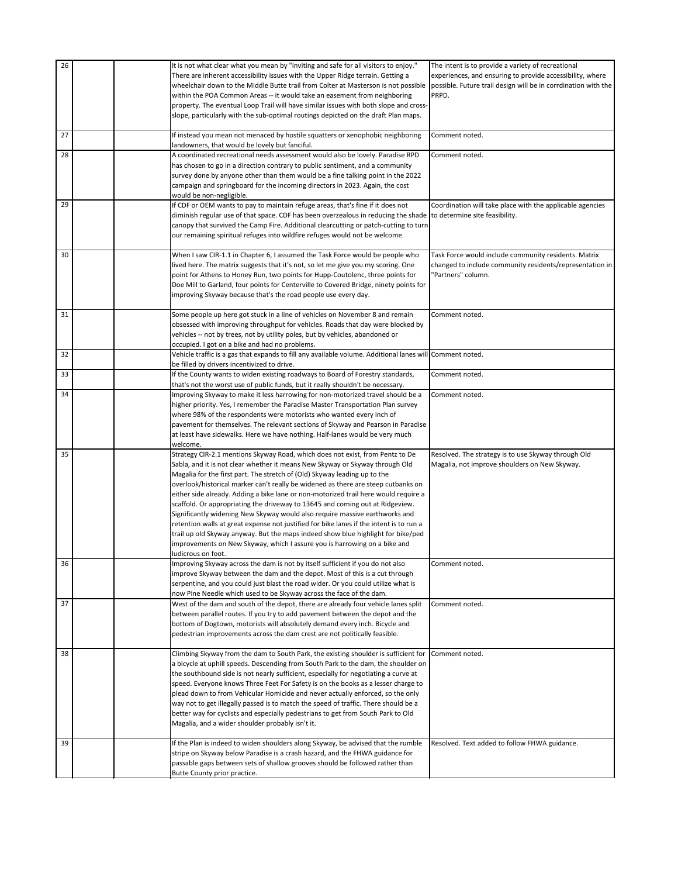| 26 |  | It is not what clear what you mean by "inviting and safe for all visitors to enjoy."                                                                            | The intent is to provide a variety of recreational             |
|----|--|-----------------------------------------------------------------------------------------------------------------------------------------------------------------|----------------------------------------------------------------|
|    |  | There are inherent accessibility issues with the Upper Ridge terrain. Getting a                                                                                 | experiences, and ensuring to provide accessibility, where      |
|    |  | wheelchair down to the Middle Butte trail from Colter at Masterson is not possible                                                                              | possible. Future trail design will be in corrdination with the |
|    |  | within the POA Common Areas -- it would take an easement from neighboring                                                                                       | PRPD.                                                          |
|    |  | property. The eventual Loop Trail will have similar issues with both slope and cross-                                                                           |                                                                |
|    |  | slope, particularly with the sub-optimal routings depicted on the draft Plan maps.                                                                              |                                                                |
|    |  |                                                                                                                                                                 |                                                                |
| 27 |  | If instead you mean not menaced by hostile squatters or xenophobic neighboring                                                                                  | Comment noted.                                                 |
|    |  | landowners, that would be lovely but fanciful.                                                                                                                  |                                                                |
| 28 |  | A coordinated recreational needs assessment would also be lovely. Paradise RPD                                                                                  | Comment noted.                                                 |
|    |  | has chosen to go in a direction contrary to public sentiment, and a community                                                                                   |                                                                |
|    |  | survey done by anyone other than them would be a fine talking point in the 2022                                                                                 |                                                                |
|    |  | campaign and springboard for the incoming directors in 2023. Again, the cost                                                                                    |                                                                |
|    |  | would be non-negligible.                                                                                                                                        |                                                                |
| 29 |  | If CDF or OEM wants to pay to maintain refuge areas, that's fine if it does not                                                                                 | Coordination will take place with the applicable agencies      |
|    |  | diminish regular use of that space. CDF has been overzealous in reducing the shade to determine site feasibility.                                               |                                                                |
|    |  | canopy that survived the Camp Fire. Additional clearcutting or patch-cutting to turn                                                                            |                                                                |
|    |  | our remaining spiritual refuges into wildfire refuges would not be welcome.                                                                                     |                                                                |
|    |  |                                                                                                                                                                 |                                                                |
| 30 |  | When I saw CIR-1.1 in Chapter 6, I assumed the Task Force would be people who                                                                                   | Task Force would include community residents. Matrix           |
|    |  | lived here. The matrix suggests that it's not, so let me give you my scoring. One                                                                               | changed to include community residents/representation in       |
|    |  | point for Athens to Honey Run, two points for Hupp-Coutolenc, three points for                                                                                  | 'Partners" column.                                             |
|    |  |                                                                                                                                                                 |                                                                |
|    |  | Doe Mill to Garland, four points for Centerville to Covered Bridge, ninety points for                                                                           |                                                                |
|    |  | improving Skyway because that's the road people use every day.                                                                                                  |                                                                |
| 31 |  |                                                                                                                                                                 | Comment noted.                                                 |
|    |  | Some people up here got stuck in a line of vehicles on November 8 and remain<br>obsessed with improving throughput for vehicles. Roads that day were blocked by |                                                                |
|    |  | vehicles -- not by trees, not by utility poles, but by vehicles, abandoned or                                                                                   |                                                                |
|    |  | occupied. I got on a bike and had no problems.                                                                                                                  |                                                                |
| 32 |  | Vehicle traffic is a gas that expands to fill any available volume. Additional lanes will Comment noted.                                                        |                                                                |
|    |  | be filled by drivers incentivized to drive.                                                                                                                     |                                                                |
| 33 |  | If the County wants to widen existing roadways to Board of Forestry standards,                                                                                  | Comment noted.                                                 |
|    |  | that's not the worst use of public funds, but it really shouldn't be necessary.                                                                                 |                                                                |
| 34 |  | Improving Skyway to make it less harrowing for non-motorized travel should be a                                                                                 | Comment noted.                                                 |
|    |  | higher priority. Yes, I remember the Paradise Master Transportation Plan survey                                                                                 |                                                                |
|    |  | where 98% of the respondents were motorists who wanted every inch of                                                                                            |                                                                |
|    |  |                                                                                                                                                                 |                                                                |
|    |  | pavement for themselves. The relevant sections of Skyway and Pearson in Paradise                                                                                |                                                                |
|    |  | at least have sidewalks. Here we have nothing. Half-lanes would be very much                                                                                    |                                                                |
| 35 |  | welcome.                                                                                                                                                        |                                                                |
|    |  | Strategy CIR-2.1 mentions Skyway Road, which does not exist, from Pentz to De                                                                                   | Resolved. The strategy is to use Skyway through Old            |
|    |  | Sabla, and it is not clear whether it means New Skyway or Skyway through Old                                                                                    | Magalia, not improve shoulders on New Skyway.                  |
|    |  | Magalia for the first part. The stretch of (Old) Skyway leading up to the                                                                                       |                                                                |
|    |  | overlook/historical marker can't really be widened as there are steep cutbanks on                                                                               |                                                                |
|    |  | either side already. Adding a bike lane or non-motorized trail here would require a                                                                             |                                                                |
|    |  | scaffold. Or appropriating the driveway to 13645 and coming out at Ridgeview.                                                                                   |                                                                |
|    |  | Significantly widening New Skyway would also require massive earthworks and                                                                                     |                                                                |
|    |  | retention walls at great expense not justified for bike lanes if the intent is to run a                                                                         |                                                                |
|    |  | trail up old Skyway anyway. But the maps indeed show blue highlight for bike/ped                                                                                |                                                                |
|    |  | improvements on New Skyway, which I assure you is harrowing on a bike and                                                                                       |                                                                |
|    |  | ludicrous on foot.                                                                                                                                              |                                                                |
| 36 |  | Improving Skyway across the dam is not by itself sufficient if you do not also                                                                                  | Comment noted.                                                 |
|    |  | improve Skyway between the dam and the depot. Most of this is a cut through                                                                                     |                                                                |
|    |  | serpentine, and you could just blast the road wider. Or you could utilize what is                                                                               |                                                                |
| 37 |  | now Pine Needle which used to be Skyway across the face of the dam.                                                                                             |                                                                |
|    |  | West of the dam and south of the depot, there are already four vehicle lanes split                                                                              | Comment noted.                                                 |
|    |  | between parallel routes. If you try to add pavement between the depot and the                                                                                   |                                                                |
|    |  | bottom of Dogtown, motorists will absolutely demand every inch. Bicycle and                                                                                     |                                                                |
|    |  | pedestrian improvements across the dam crest are not politically feasible.                                                                                      |                                                                |
| 38 |  | Climbing Skyway from the dam to South Park, the existing shoulder is sufficient for                                                                             | Comment noted.                                                 |
|    |  | a bicycle at uphill speeds. Descending from South Park to the dam, the shoulder on                                                                              |                                                                |
|    |  | the southbound side is not nearly sufficient, especially for negotiating a curve at                                                                             |                                                                |
|    |  | speed. Everyone knows Three Feet For Safety is on the books as a lesser charge to                                                                               |                                                                |
|    |  | plead down to from Vehicular Homicide and never actually enforced, so the only                                                                                  |                                                                |
|    |  |                                                                                                                                                                 |                                                                |
|    |  | way not to get illegally passed is to match the speed of traffic. There should be a                                                                             |                                                                |
|    |  | better way for cyclists and especially pedestrians to get from South Park to Old                                                                                |                                                                |
|    |  | Magalia, and a wider shoulder probably isn't it.                                                                                                                |                                                                |
| 39 |  | If the Plan is indeed to widen shoulders along Skyway, be advised that the rumble                                                                               | Resolved. Text added to follow FHWA guidance.                  |
|    |  | stripe on Skyway below Paradise is a crash hazard, and the FHWA guidance for                                                                                    |                                                                |
|    |  | passable gaps between sets of shallow grooves should be followed rather than                                                                                    |                                                                |
|    |  | Butte County prior practice.                                                                                                                                    |                                                                |
|    |  |                                                                                                                                                                 |                                                                |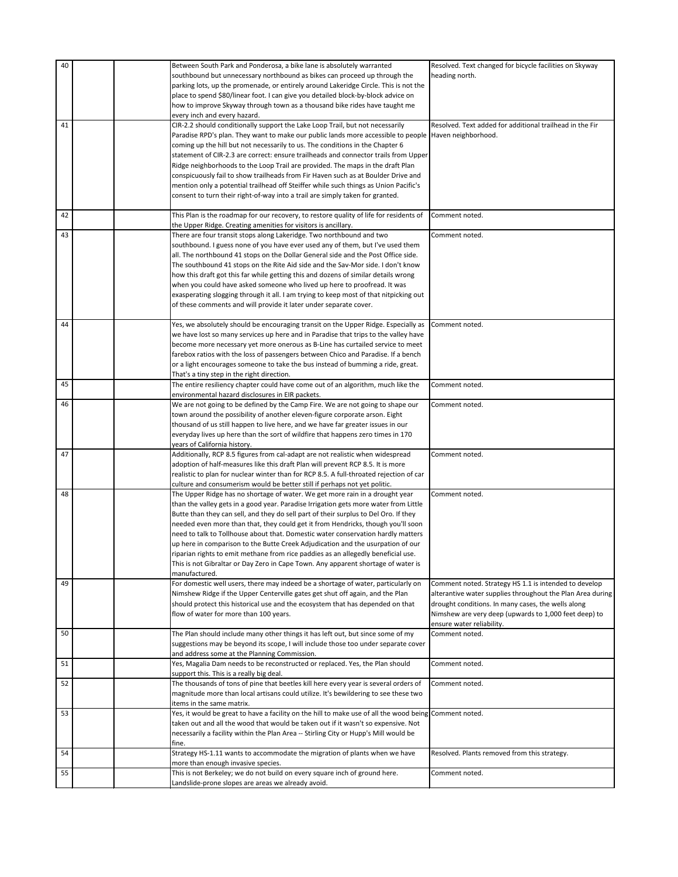| 40 | Between South Park and Ponderosa, a bike lane is absolutely warranted                                                                                              | Resolved. Text changed for bicycle facilities on Skyway    |
|----|--------------------------------------------------------------------------------------------------------------------------------------------------------------------|------------------------------------------------------------|
|    | southbound but unnecessary northbound as bikes can proceed up through the                                                                                          | heading north.                                             |
|    | parking lots, up the promenade, or entirely around Lakeridge Circle. This is not the                                                                               |                                                            |
|    | place to spend \$80/linear foot. I can give you detailed block-by-block advice on                                                                                  |                                                            |
|    | how to improve Skyway through town as a thousand bike rides have taught me                                                                                         |                                                            |
|    | every inch and every hazard.                                                                                                                                       |                                                            |
| 41 | CIR-2.2 should conditionally support the Lake Loop Trail, but not necessarily                                                                                      | Resolved. Text added for additional trailhead in the Fir   |
|    |                                                                                                                                                                    |                                                            |
|    | Paradise RPD's plan. They want to make our public lands more accessible to people  Haven neighborhood.                                                             |                                                            |
|    | coming up the hill but not necessarily to us. The conditions in the Chapter 6                                                                                      |                                                            |
|    | statement of CIR-2.3 are correct: ensure trailheads and connector trails from Upper                                                                                |                                                            |
|    | Ridge neighborhoods to the Loop Trail are provided. The maps in the draft Plan                                                                                     |                                                            |
|    | conspicuously fail to show trailheads from Fir Haven such as at Boulder Drive and                                                                                  |                                                            |
|    | mention only a potential trailhead off Steiffer while such things as Union Pacific's                                                                               |                                                            |
|    | consent to turn their right-of-way into a trail are simply taken for granted.                                                                                      |                                                            |
|    |                                                                                                                                                                    |                                                            |
| 42 | This Plan is the roadmap for our recovery, to restore quality of life for residents of                                                                             | Comment noted.                                             |
|    | the Upper Ridge. Creating amenities for visitors is ancillary.                                                                                                     |                                                            |
| 43 | There are four transit stops along Lakeridge. Two northbound and two                                                                                               | Comment noted.                                             |
|    | southbound. I guess none of you have ever used any of them, but I've used them                                                                                     |                                                            |
|    | all. The northbound 41 stops on the Dollar General side and the Post Office side.                                                                                  |                                                            |
|    | The southbound 41 stops on the Rite Aid side and the Sav-Mor side. I don't know                                                                                    |                                                            |
|    | how this draft got this far while getting this and dozens of similar details wrong                                                                                 |                                                            |
|    | when you could have asked someone who lived up here to proofread. It was                                                                                           |                                                            |
|    | exasperating slogging through it all. I am trying to keep most of that nitpicking out                                                                              |                                                            |
|    | of these comments and will provide it later under separate cover.                                                                                                  |                                                            |
|    |                                                                                                                                                                    |                                                            |
| 44 | Yes, we absolutely should be encouraging transit on the Upper Ridge. Especially as                                                                                 | Comment noted.                                             |
|    | we have lost so many services up here and in Paradise that trips to the valley have                                                                                |                                                            |
|    | become more necessary yet more onerous as B-Line has curtailed service to meet                                                                                     |                                                            |
|    | farebox ratios with the loss of passengers between Chico and Paradise. If a bench                                                                                  |                                                            |
|    | or a light encourages someone to take the bus instead of bumming a ride, great.                                                                                    |                                                            |
|    | That's a tiny step in the right direction.                                                                                                                         |                                                            |
| 45 | The entire resiliency chapter could have come out of an algorithm, much like the                                                                                   | Comment noted.                                             |
|    | environmental hazard disclosures in EIR packets.                                                                                                                   |                                                            |
| 46 | We are not going to be defined by the Camp Fire. We are not going to shape our                                                                                     | Comment noted.                                             |
|    | town around the possibility of another eleven-figure corporate arson. Eight                                                                                        |                                                            |
|    | thousand of us still happen to live here, and we have far greater issues in our<br>everyday lives up here than the sort of wildfire that happens zero times in 170 |                                                            |
|    | years of California history.                                                                                                                                       |                                                            |
| 47 | Additionally, RCP 8.5 figures from cal-adapt are not realistic when widespread                                                                                     | Comment noted.                                             |
|    | adoption of half-measures like this draft Plan will prevent RCP 8.5. It is more                                                                                    |                                                            |
|    | realistic to plan for nuclear winter than for RCP 8.5. A full-throated rejection of car                                                                            |                                                            |
|    | culture and consumerism would be better still if perhaps not yet politic.                                                                                          |                                                            |
| 48 | The Upper Ridge has no shortage of water. We get more rain in a drought year                                                                                       | Comment noted.                                             |
|    | than the valley gets in a good year. Paradise Irrigation gets more water from Little                                                                               |                                                            |
|    | Butte than they can sell, and they do sell part of their surplus to Del Oro. If they                                                                               |                                                            |
|    | needed even more than that, they could get it from Hendricks, though you'll soon                                                                                   |                                                            |
|    | need to talk to Tollhouse about that. Domestic water conservation hardly matters                                                                                   |                                                            |
|    | up here in comparison to the Butte Creek Adjudication and the usurpation of our                                                                                    |                                                            |
|    | riparian rights to emit methane from rice paddies as an allegedly beneficial use.                                                                                  |                                                            |
|    | This is not Gibraltar or Day Zero in Cape Town. Any apparent shortage of water is                                                                                  |                                                            |
|    | manufactured.                                                                                                                                                      |                                                            |
| 49 | For domestic well users, there may indeed be a shortage of water, particularly on                                                                                  | Comment noted. Strategy HS 1.1 is intended to develop      |
|    | Nimshew Ridge if the Upper Centerville gates get shut off again, and the Plan                                                                                      | alterantive water supplies throughout the Plan Area during |
|    | should protect this historical use and the ecosystem that has depended on that                                                                                     | drought conditions. In many cases, the wells along         |
|    | flow of water for more than 100 years.                                                                                                                             | Nimshew are very deep (upwards to 1,000 feet deep) to      |
|    |                                                                                                                                                                    | ensure water reliability.                                  |
| 50 | The Plan should include many other things it has left out, but since some of my                                                                                    | Comment noted.                                             |
|    | suggestions may be beyond its scope, I will include those too under separate cover                                                                                 |                                                            |
|    | and address some at the Planning Commission.                                                                                                                       |                                                            |
| 51 | Yes, Magalia Dam needs to be reconstructed or replaced. Yes, the Plan should                                                                                       | Comment noted.                                             |
|    | support this. This is a really big deal.                                                                                                                           |                                                            |
| 52 | The thousands of tons of pine that beetles kill here every year is several orders of                                                                               | Comment noted.                                             |
|    | magnitude more than local artisans could utilize. It's bewildering to see these two                                                                                |                                                            |
|    | items in the same matrix.                                                                                                                                          |                                                            |
| 53 | Yes, it would be great to have a facility on the hill to make use of all the wood being Comment noted.                                                             |                                                            |
|    | taken out and all the wood that would be taken out if it wasn't so expensive. Not                                                                                  |                                                            |
|    | necessarily a facility within the Plan Area -- Stirling City or Hupp's Mill would be                                                                               |                                                            |
| 54 | fine.                                                                                                                                                              | Resolved. Plants removed from this strategy.               |
|    | Strategy HS-1.11 wants to accommodate the migration of plants when we have<br>more than enough invasive species.                                                   |                                                            |
| 55 | This is not Berkeley; we do not build on every square inch of ground here.                                                                                         | Comment noted.                                             |
|    | Landslide-prone slopes are areas we already avoid.                                                                                                                 |                                                            |
|    |                                                                                                                                                                    |                                                            |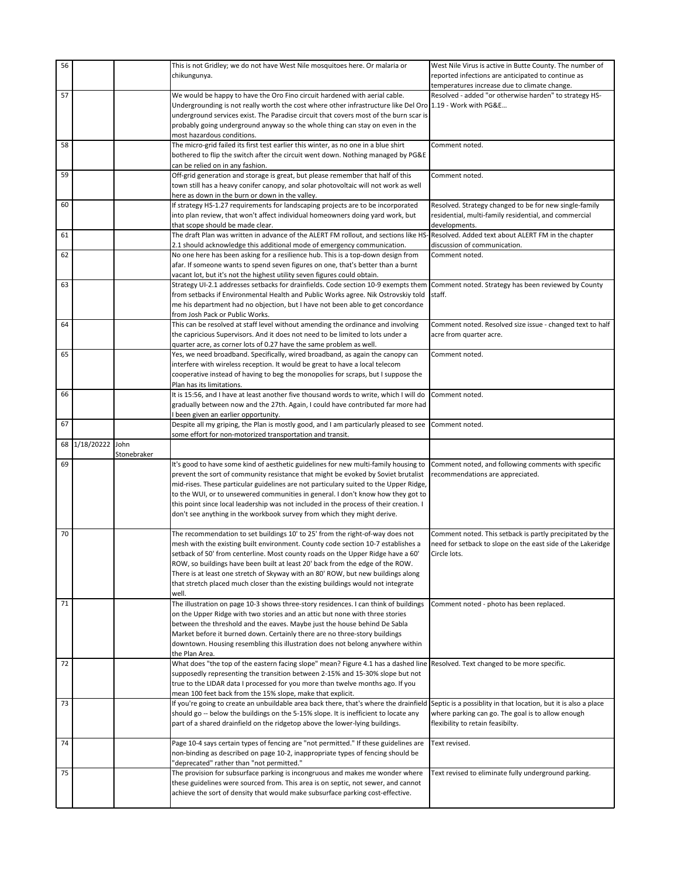| 56 |                    |             | This is not Gridley; we do not have West Nile mosquitoes here. Or malaria or                                                            | West Nile Virus is active in Butte County. The number of        |
|----|--------------------|-------------|-----------------------------------------------------------------------------------------------------------------------------------------|-----------------------------------------------------------------|
|    |                    |             | chikungunya.                                                                                                                            | reported infections are anticipated to continue as              |
|    |                    |             |                                                                                                                                         | temperatures increase due to climate change.                    |
| 57 |                    |             | We would be happy to have the Oro Fino circuit hardened with aerial cable.                                                              | Resolved - added "or otherwise harden" to strategy HS-          |
|    |                    |             |                                                                                                                                         |                                                                 |
|    |                    |             | Undergrounding is not really worth the cost where other infrastructure like Del Oro 1.19 - Work with PG&E                               |                                                                 |
|    |                    |             | underground services exist. The Paradise circuit that covers most of the burn scar is                                                   |                                                                 |
|    |                    |             | probably going underground anyway so the whole thing can stay on even in the                                                            |                                                                 |
|    |                    |             | most hazardous conditions.                                                                                                              |                                                                 |
| 58 |                    |             | The micro-grid failed its first test earlier this winter, as no one in a blue shirt                                                     | Comment noted.                                                  |
|    |                    |             | bothered to flip the switch after the circuit went down. Nothing managed by PG&E                                                        |                                                                 |
|    |                    |             | can be relied on in any fashion.                                                                                                        |                                                                 |
| 59 |                    |             | Off-grid generation and storage is great, but please remember that half of this                                                         | Comment noted.                                                  |
|    |                    |             | town still has a heavy conifer canopy, and solar photovoltaic will not work as well                                                     |                                                                 |
|    |                    |             | here as down in the burn or down in the valley.                                                                                         |                                                                 |
| 60 |                    |             | If strategy HS-1.27 requirements for landscaping projects are to be incorporated                                                        | Resolved. Strategy changed to be for new single-family          |
|    |                    |             | into plan review, that won't affect individual homeowners doing yard work, but                                                          | residential, multi-family residential, and commercial           |
|    |                    |             | that scope should be made clear.                                                                                                        | developments.                                                   |
| 61 |                    |             | The draft Plan was written in advance of the ALERT FM rollout, and sections like HS- Resolved. Added text about ALERT FM in the chapter |                                                                 |
|    |                    |             | 2.1 should acknowledge this additional mode of emergency communication.                                                                 | discussion of communication.                                    |
| 62 |                    |             | No one here has been asking for a resilience hub. This is a top-down design from                                                        | Comment noted.                                                  |
|    |                    |             | afar. If someone wants to spend seven figures on one, that's better than a burnt                                                        |                                                                 |
|    |                    |             |                                                                                                                                         |                                                                 |
|    |                    |             | vacant lot, but it's not the highest utility seven figures could obtain.                                                                |                                                                 |
| 63 |                    |             | Strategy UI-2.1 addresses setbacks for drainfields. Code section 10-9 exempts them                                                      | Comment noted. Strategy has been reviewed by County             |
|    |                    |             | from setbacks if Environmental Health and Public Works agree. Nik Ostrovskiy told                                                       | staff.                                                          |
|    |                    |             | me his department had no objection, but I have not been able to get concordance                                                         |                                                                 |
|    |                    |             | from Josh Pack or Public Works.                                                                                                         |                                                                 |
| 64 |                    |             | This can be resolved at staff level without amending the ordinance and involving                                                        | Comment noted. Resolved size issue - changed text to half       |
|    |                    |             | the capricious Supervisors. And it does not need to be limited to lots under a                                                          | acre from quarter acre.                                         |
|    |                    |             | quarter acre, as corner lots of 0.27 have the same problem as well.                                                                     |                                                                 |
| 65 |                    |             | Yes, we need broadband. Specifically, wired broadband, as again the canopy can                                                          | Comment noted.                                                  |
|    |                    |             | interfere with wireless reception. It would be great to have a local telecom                                                            |                                                                 |
|    |                    |             | cooperative instead of having to beg the monopolies for scraps, but I suppose the                                                       |                                                                 |
|    |                    |             | Plan has its limitations.                                                                                                               |                                                                 |
| 66 |                    |             | It is 15:56, and I have at least another five thousand words to write, which I will do                                                  | Comment noted.                                                  |
|    |                    |             | gradually between now and the 27th. Again, I could have contributed far more had                                                        |                                                                 |
|    |                    |             | I been given an earlier opportunity.                                                                                                    |                                                                 |
| 67 |                    |             |                                                                                                                                         |                                                                 |
|    |                    |             |                                                                                                                                         |                                                                 |
|    |                    |             | Despite all my griping, the Plan is mostly good, and I am particularly pleased to see                                                   | Comment noted.                                                  |
|    | 68 1/18/20222 John |             | some effort for non-motorized transportation and transit.                                                                               |                                                                 |
|    |                    | Stonebraker |                                                                                                                                         |                                                                 |
| 69 |                    |             | It's good to have some kind of aesthetic guidelines for new multi-family housing to                                                     | Comment noted, and following comments with specific             |
|    |                    |             |                                                                                                                                         |                                                                 |
|    |                    |             | prevent the sort of community resistance that might be evoked by Soviet brutalist                                                       | recommendations are appreciated.                                |
|    |                    |             | mid-rises. These particular guidelines are not particulary suited to the Upper Ridge,                                                   |                                                                 |
|    |                    |             | to the WUI, or to unsewered communities in general. I don't know how they got to                                                        |                                                                 |
|    |                    |             | this point since local leadership was not included in the process of their creation. I                                                  |                                                                 |
|    |                    |             | don't see anything in the workbook survey from which they might derive.                                                                 |                                                                 |
|    |                    |             |                                                                                                                                         |                                                                 |
| 70 |                    |             | The recommendation to set buildings 10' to 25' from the right-of-way does not                                                           | Comment noted. This setback is partly precipitated by the       |
|    |                    |             | mesh with the existing built environment. County code section 10-7 establishes a                                                        | need for setback to slope on the east side of the Lakeridge     |
|    |                    |             | setback of 50' from centerline. Most county roads on the Upper Ridge have a 60'                                                         | Circle lots.                                                    |
|    |                    |             | ROW, so buildings have been built at least 20' back from the edge of the ROW.                                                           |                                                                 |
|    |                    |             | There is at least one stretch of Skyway with an 80' ROW, but new buildings along                                                        |                                                                 |
|    |                    |             | that stretch placed much closer than the existing buildings would not integrate                                                         |                                                                 |
|    |                    |             | well.                                                                                                                                   |                                                                 |
| 71 |                    |             | The illustration on page 10-3 shows three-story residences. I can think of buildings                                                    | Comment noted - photo has been replaced.                        |
|    |                    |             | on the Upper Ridge with two stories and an attic but none with three stories                                                            |                                                                 |
|    |                    |             | between the threshold and the eaves. Maybe just the house behind De Sabla                                                               |                                                                 |
|    |                    |             | Market before it burned down. Certainly there are no three-story buildings                                                              |                                                                 |
|    |                    |             | downtown. Housing resembling this illustration does not belong anywhere within                                                          |                                                                 |
|    |                    |             | the Plan Area.                                                                                                                          |                                                                 |
| 72 |                    |             | What does "the top of the eastern facing slope" mean? Figure 4.1 has a dashed line Resolved. Text changed to be more specific.          |                                                                 |
|    |                    |             | supposedly representing the transition between 2-15% and 15-30% slope but not                                                           |                                                                 |
|    |                    |             | true to the LIDAR data I processed for you more than twelve months ago. If you                                                          |                                                                 |
|    |                    |             | mean 100 feet back from the 15% slope, make that explicit.                                                                              |                                                                 |
| 73 |                    |             | If you're going to create an unbuildable area back there, that's where the drainfield                                                   | Septic is a possiblity in that location, but it is also a place |
|    |                    |             | should go -- below the buildings on the 5-15% slope. It is inefficient to locate any                                                    | where parking can go. The goal is to allow enough               |
|    |                    |             | part of a shared drainfield on the ridgetop above the lower-lying buildings.                                                            | flexibility to retain feasibilty.                               |
|    |                    |             |                                                                                                                                         |                                                                 |
| 74 |                    |             | Page 10-4 says certain types of fencing are "not permitted." If these guidelines are                                                    | Text revised.                                                   |
|    |                    |             | non-binding as described on page 10-2, inappropriate types of fencing should be                                                         |                                                                 |
|    |                    |             | "deprecated" rather than "not permitted."                                                                                               |                                                                 |
| 75 |                    |             | The provision for subsurface parking is incongruous and makes me wonder where                                                           | Text revised to eliminate fully underground parking.            |
|    |                    |             | these guidelines were sourced from. This area is on septic, not sewer, and cannot                                                       |                                                                 |
|    |                    |             | achieve the sort of density that would make subsurface parking cost-effective.                                                          |                                                                 |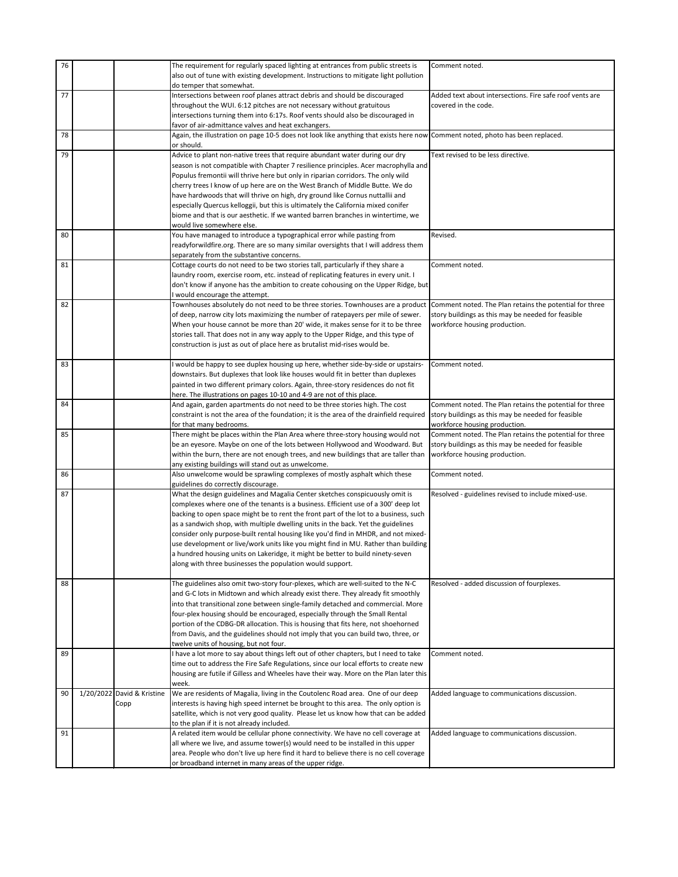| 76 |                            | The requirement for regularly spaced lighting at entrances from public streets is<br>also out of tune with existing development. Instructions to mitigate light pollution<br>do temper that somewhat. | Comment noted.                                           |
|----|----------------------------|-------------------------------------------------------------------------------------------------------------------------------------------------------------------------------------------------------|----------------------------------------------------------|
|    |                            |                                                                                                                                                                                                       |                                                          |
| 77 |                            | Intersections between roof planes attract debris and should be discouraged                                                                                                                            | Added text about intersections. Fire safe roof vents are |
|    |                            | throughout the WUI. 6:12 pitches are not necessary without gratuitous                                                                                                                                 | covered in the code.                                     |
|    |                            | intersections turning them into 6:17s. Roof vents should also be discouraged in                                                                                                                       |                                                          |
|    |                            | favor of air-admittance valves and heat exchangers.                                                                                                                                                   |                                                          |
| 78 |                            | Again, the illustration on page 10-5 does not look like anything that exists here now Comment noted, photo has been replaced.                                                                         |                                                          |
|    |                            | or should.                                                                                                                                                                                            |                                                          |
| 79 |                            |                                                                                                                                                                                                       | Text revised to be less directive.                       |
|    |                            | Advice to plant non-native trees that require abundant water during our dry                                                                                                                           |                                                          |
|    |                            | season is not compatible with Chapter 7 resilience principles. Acer macrophylla and                                                                                                                   |                                                          |
|    |                            | Populus fremontii will thrive here but only in riparian corridors. The only wild                                                                                                                      |                                                          |
|    |                            | cherry trees I know of up here are on the West Branch of Middle Butte. We do                                                                                                                          |                                                          |
|    |                            | have hardwoods that will thrive on high, dry ground like Cornus nuttallii and                                                                                                                         |                                                          |
|    |                            | especially Quercus kelloggii, but this is ultimately the California mixed conifer                                                                                                                     |                                                          |
|    |                            | biome and that is our aesthetic. If we wanted barren branches in wintertime, we                                                                                                                       |                                                          |
|    |                            | would live somewhere else.                                                                                                                                                                            |                                                          |
|    |                            |                                                                                                                                                                                                       | Revised.                                                 |
| 80 |                            | You have managed to introduce a typographical error while pasting from                                                                                                                                |                                                          |
|    |                            | readyforwildfire.org. There are so many similar oversights that I will address them                                                                                                                   |                                                          |
|    |                            | separately from the substantive concerns.                                                                                                                                                             |                                                          |
| 81 |                            | Cottage courts do not need to be two stories tall, particularly if they share a                                                                                                                       | Comment noted.                                           |
|    |                            | laundry room, exercise room, etc. instead of replicating features in every unit. I                                                                                                                    |                                                          |
|    |                            | don't know if anyone has the ambition to create cohousing on the Upper Ridge, but                                                                                                                     |                                                          |
|    |                            | I would encourage the attempt.                                                                                                                                                                        |                                                          |
| 82 |                            |                                                                                                                                                                                                       | Comment noted. The Plan retains the potential for three  |
|    |                            | Townhouses absolutely do not need to be three stories. Townhouses are a product                                                                                                                       |                                                          |
|    |                            | of deep, narrow city lots maximizing the number of ratepayers per mile of sewer.                                                                                                                      | story buildings as this may be needed for feasible       |
|    |                            | When your house cannot be more than 20' wide, it makes sense for it to be three                                                                                                                       | workforce housing production.                            |
|    |                            | stories tall. That does not in any way apply to the Upper Ridge, and this type of                                                                                                                     |                                                          |
|    |                            | construction is just as out of place here as brutalist mid-rises would be.                                                                                                                            |                                                          |
|    |                            |                                                                                                                                                                                                       |                                                          |
| 83 |                            | I would be happy to see duplex housing up here, whether side-by-side or upstairs-                                                                                                                     | Comment noted.                                           |
|    |                            | downstairs. But duplexes that look like houses would fit in better than duplexes                                                                                                                      |                                                          |
|    |                            | painted in two different primary colors. Again, three-story residences do not fit                                                                                                                     |                                                          |
|    |                            |                                                                                                                                                                                                       |                                                          |
| 84 |                            | here. The illustrations on pages 10-10 and 4-9 are not of this place.                                                                                                                                 |                                                          |
|    |                            | And again, garden apartments do not need to be three stories high. The cost                                                                                                                           | Comment noted. The Plan retains the potential for three  |
|    |                            | constraint is not the area of the foundation; it is the area of the drainfield required                                                                                                               | story buildings as this may be needed for feasible       |
|    |                            | for that many bedrooms.                                                                                                                                                                               | workforce housing production.                            |
| 85 |                            | There might be places within the Plan Area where three-story housing would not                                                                                                                        | Comment noted. The Plan retains the potential for three  |
|    |                            | be an eyesore. Maybe on one of the lots between Hollywood and Woodward. But                                                                                                                           | story buildings as this may be needed for feasible       |
|    |                            | within the burn, there are not enough trees, and new buildings that are taller than                                                                                                                   | workforce housing production.                            |
|    |                            | any existing buildings will stand out as unwelcome.                                                                                                                                                   |                                                          |
| 86 |                            | Also unwelcome would be sprawling complexes of mostly asphalt which these                                                                                                                             | Comment noted.                                           |
|    |                            | guidelines do correctly discourage.                                                                                                                                                                   |                                                          |
| 87 |                            | What the design guidelines and Magalia Center sketches conspicuously omit is                                                                                                                          | Resolved - guidelines revised to include mixed-use.      |
|    |                            | complexes where one of the tenants is a business. Efficient use of a 300' deep lot                                                                                                                    |                                                          |
|    |                            | backing to open space might be to rent the front part of the lot to a business, such                                                                                                                  |                                                          |
|    |                            | as a sandwich shop, with multiple dwelling units in the back. Yet the guidelines                                                                                                                      |                                                          |
|    |                            | consider only purpose-built rental housing like you'd find in MHDR, and not mixed-                                                                                                                    |                                                          |
|    |                            |                                                                                                                                                                                                       |                                                          |
|    |                            | use development or live/work units like you might find in MU. Rather than building                                                                                                                    |                                                          |
|    |                            | a hundred housing units on Lakeridge, it might be better to build ninety-seven                                                                                                                        |                                                          |
|    |                            | along with three businesses the population would support.                                                                                                                                             |                                                          |
|    |                            |                                                                                                                                                                                                       |                                                          |
| 88 |                            | The guidelines also omit two-story four-plexes, which are well-suited to the N-C                                                                                                                      | Resolved - added discussion of fourplexes.               |
|    |                            | and G-C lots in Midtown and which already exist there. They already fit smoothly                                                                                                                      |                                                          |
|    |                            | into that transitional zone between single-family detached and commercial. More                                                                                                                       |                                                          |
|    |                            | four-plex housing should be encouraged, especially through the Small Rental                                                                                                                           |                                                          |
|    |                            | portion of the CDBG-DR allocation. This is housing that fits here, not shoehorned                                                                                                                     |                                                          |
|    |                            | from Davis, and the guidelines should not imply that you can build two, three, or                                                                                                                     |                                                          |
|    |                            | twelve units of housing, but not four.                                                                                                                                                                |                                                          |
|    |                            |                                                                                                                                                                                                       |                                                          |
| 89 |                            | I have a lot more to say about things left out of other chapters, but I need to take                                                                                                                  | Comment noted.                                           |
|    |                            | time out to address the Fire Safe Regulations, since our local efforts to create new                                                                                                                  |                                                          |
|    |                            | housing are futile if Gilless and Wheeles have their way. More on the Plan later this                                                                                                                 |                                                          |
|    |                            | week.                                                                                                                                                                                                 |                                                          |
| 90 | 1/20/2022 David & Kristine | We are residents of Magalia, living in the Coutolenc Road area. One of our deep                                                                                                                       | Added language to communications discussion.             |
|    | Copp                       | interests is having high speed internet be brought to this area. The only option is                                                                                                                   |                                                          |
|    |                            | satellite, which is not very good quality. Please let us know how that can be added                                                                                                                   |                                                          |
|    |                            | to the plan if it is not already included.                                                                                                                                                            |                                                          |
| 91 |                            | A related item would be cellular phone connectivity. We have no cell coverage at                                                                                                                      | Added language to communications discussion.             |
|    |                            | all where we live, and assume tower(s) would need to be installed in this upper                                                                                                                       |                                                          |
|    |                            | area. People who don't live up here find it hard to believe there is no cell coverage                                                                                                                 |                                                          |
|    |                            | or broadband internet in many areas of the upper ridge.                                                                                                                                               |                                                          |
|    |                            |                                                                                                                                                                                                       |                                                          |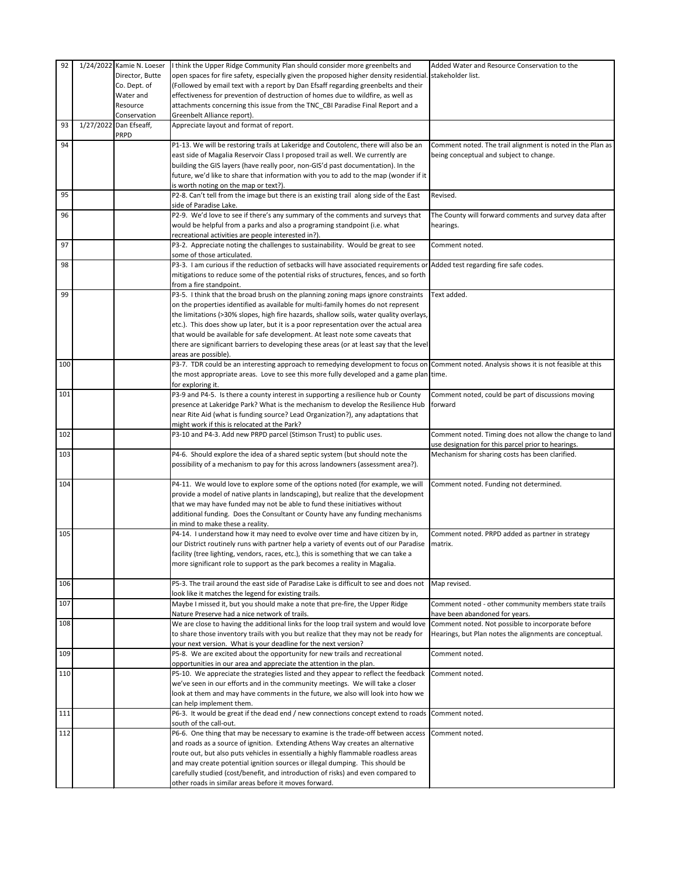| 92  |                        | 1/24/2022 Kamie N. Loeser | I think the Upper Ridge Community Plan should consider more greenbelts and                                                                                                      | Added Water and Resource Conservation to the               |
|-----|------------------------|---------------------------|---------------------------------------------------------------------------------------------------------------------------------------------------------------------------------|------------------------------------------------------------|
|     |                        | Director, Butte           | open spaces for fire safety, especially given the proposed higher density residential. stakeholder list.                                                                        |                                                            |
|     |                        | Co. Dept. of              | (Followed by email text with a report by Dan Efsaff regarding greenbelts and their                                                                                              |                                                            |
|     |                        | Water and                 | effectiveness for prevention of destruction of homes due to wildfire, as well as                                                                                                |                                                            |
|     |                        | Resource                  | attachments concerning this issue from the TNC_CBI Paradise Final Report and a                                                                                                  |                                                            |
| 93  | 1/27/2022 Dan Efseaff, | Conservation              | Greenbelt Alliance report).<br>Appreciate layout and format of report.                                                                                                          |                                                            |
|     |                        | PRPD                      |                                                                                                                                                                                 |                                                            |
| 94  |                        |                           | P1-13. We will be restoring trails at Lakeridge and Coutolenc, there will also be an                                                                                            | Comment noted. The trail alignment is noted in the Plan as |
|     |                        |                           | east side of Magalia Reservoir Class I proposed trail as well. We currently are                                                                                                 | being conceptual and subject to change.                    |
|     |                        |                           | building the GIS layers (have really poor, non-GIS'd past documentation). In the                                                                                                |                                                            |
|     |                        |                           | future, we'd like to share that information with you to add to the map (wonder if it                                                                                            |                                                            |
| 95  |                        |                           | is worth noting on the map or text?).<br>P2-8. Can't tell from the image but there is an existing trail along side of the East                                                  | Revised.                                                   |
|     |                        |                           | side of Paradise Lake.                                                                                                                                                          |                                                            |
| 96  |                        |                           | P2-9. We'd love to see if there's any summary of the comments and surveys that                                                                                                  | The County will forward comments and survey data after     |
|     |                        |                           | would be helpful from a parks and also a programing standpoint (i.e. what                                                                                                       | hearings.                                                  |
| 97  |                        |                           | recreational activities are people interested in?).                                                                                                                             | Comment noted.                                             |
|     |                        |                           | P3-2. Appreciate noting the challenges to sustainability. Would be great to see<br>some of those articulated.                                                                   |                                                            |
| 98  |                        |                           | P3-3. I am curious if the reduction of setbacks will have associated requirements or Added test regarding fire safe codes.                                                      |                                                            |
|     |                        |                           | mitigations to reduce some of the potential risks of structures, fences, and so forth                                                                                           |                                                            |
|     |                        |                           | from a fire standpoint.                                                                                                                                                         |                                                            |
| 99  |                        |                           | P3-5. I think that the broad brush on the planning zoning maps ignore constraints                                                                                               | Text added.                                                |
|     |                        |                           | on the properties identified as available for multi-family homes do not represent                                                                                               |                                                            |
|     |                        |                           | the limitations (>30% slopes, high fire hazards, shallow soils, water quality overlays,<br>etc.). This does show up later, but it is a poor representation over the actual area |                                                            |
|     |                        |                           | that would be available for safe development. At least note some caveats that                                                                                                   |                                                            |
|     |                        |                           | there are significant barriers to developing these areas (or at least say that the level                                                                                        |                                                            |
|     |                        |                           | areas are possible).                                                                                                                                                            |                                                            |
| 100 |                        |                           | P3-7. TDR could be an interesting approach to remedying development to focus on Comment noted. Analysis shows it is not feasible at this                                        |                                                            |
|     |                        |                           | the most appropriate areas. Love to see this more fully developed and a game plan time.                                                                                         |                                                            |
| 101 |                        |                           | for exploring it.<br>P3-9 and P4-5. Is there a county interest in supporting a resilience hub or County                                                                         | Comment noted, could be part of discussions moving         |
|     |                        |                           | presence at Lakeridge Park? What is the mechanism to develop the Resilience Hub                                                                                                 | forward                                                    |
|     |                        |                           | near Rite Aid (what is funding source? Lead Organization?), any adaptations that                                                                                                |                                                            |
|     |                        |                           | might work if this is relocated at the Park?                                                                                                                                    |                                                            |
| 102 |                        |                           | P3-10 and P4-3. Add new PRPD parcel (Stimson Trust) to public uses.                                                                                                             | Comment noted. Timing does not allow the change to land    |
|     |                        |                           |                                                                                                                                                                                 | use designation for this parcel prior to hearings.         |
| 103 |                        |                           | P4-6. Should explore the idea of a shared septic system (but should note the<br>possibility of a mechanism to pay for this across landowners (assessment area?).                | Mechanism for sharing costs has been clarified.            |
|     |                        |                           |                                                                                                                                                                                 |                                                            |
| 104 |                        |                           | P4-11. We would love to explore some of the options noted (for example, we will                                                                                                 | Comment noted. Funding not determined.                     |
|     |                        |                           | provide a model of native plants in landscaping), but realize that the development                                                                                              |                                                            |
|     |                        |                           | that we may have funded may not be able to fund these initiatives without                                                                                                       |                                                            |
|     |                        |                           | additional funding. Does the Consultant or County have any funding mechanisms<br>in mind to make these a reality.                                                               |                                                            |
| 105 |                        |                           | P4-14. I understand how it may need to evolve over time and have citizen by in,                                                                                                 | Comment noted. PRPD added as partner in strategy           |
|     |                        |                           | our District routinely runs with partner help a variety of events out of our Paradise                                                                                           | matrix.                                                    |
|     |                        |                           | facility (tree lighting, vendors, races, etc.), this is something that we can take a                                                                                            |                                                            |
|     |                        |                           | more significant role to support as the park becomes a reality in Magalia.                                                                                                      |                                                            |
| 106 |                        |                           | P5-3. The trail around the east side of Paradise Lake is difficult to see and does not                                                                                          |                                                            |
|     |                        |                           | look like it matches the legend for existing trails.                                                                                                                            | Map revised.                                               |
| 107 |                        |                           | Maybe I missed it, but you should make a note that pre-fire, the Upper Ridge                                                                                                    | Comment noted - other community members state trails       |
|     |                        |                           | Nature Preserve had a nice network of trails.                                                                                                                                   | have been abandoned for years.                             |
| 108 |                        |                           | We are close to having the additional links for the loop trail system and would love                                                                                            | Comment noted. Not possible to incorporate before          |
|     |                        |                           | to share those inventory trails with you but realize that they may not be ready for<br>your next version. What is your deadline for the next version?                           | Hearings, but Plan notes the alignments are conceptual.    |
| 109 |                        |                           | P5-8. We are excited about the opportunity for new trails and recreational                                                                                                      | Comment noted.                                             |
|     |                        |                           | opportunities in our area and appreciate the attention in the plan.                                                                                                             |                                                            |
| 110 |                        |                           | P5-10. We appreciate the strategies listed and they appear to reflect the feedback                                                                                              | Comment noted.                                             |
|     |                        |                           | we've seen in our efforts and in the community meetings. We will take a closer                                                                                                  |                                                            |
|     |                        |                           | look at them and may have comments in the future, we also will look into how we                                                                                                 |                                                            |
| 111 |                        |                           | can help implement them.<br>P6-3. It would be great if the dead end / new connections concept extend to roads                                                                   | Comment noted.                                             |
|     |                        |                           | south of the call-out.                                                                                                                                                          |                                                            |
| 112 |                        |                           | P6-6. One thing that may be necessary to examine is the trade-off between access                                                                                                | Comment noted.                                             |
|     |                        |                           | and roads as a source of ignition. Extending Athens Way creates an alternative                                                                                                  |                                                            |
|     |                        |                           | route out, but also puts vehicles in essentially a highly flammable roadless areas                                                                                              |                                                            |
|     |                        |                           | and may create potential ignition sources or illegal dumping. This should be<br>carefully studied (cost/benefit, and introduction of risks) and even compared to                |                                                            |
|     |                        |                           | other roads in similar areas before it moves forward.                                                                                                                           |                                                            |
|     |                        |                           |                                                                                                                                                                                 |                                                            |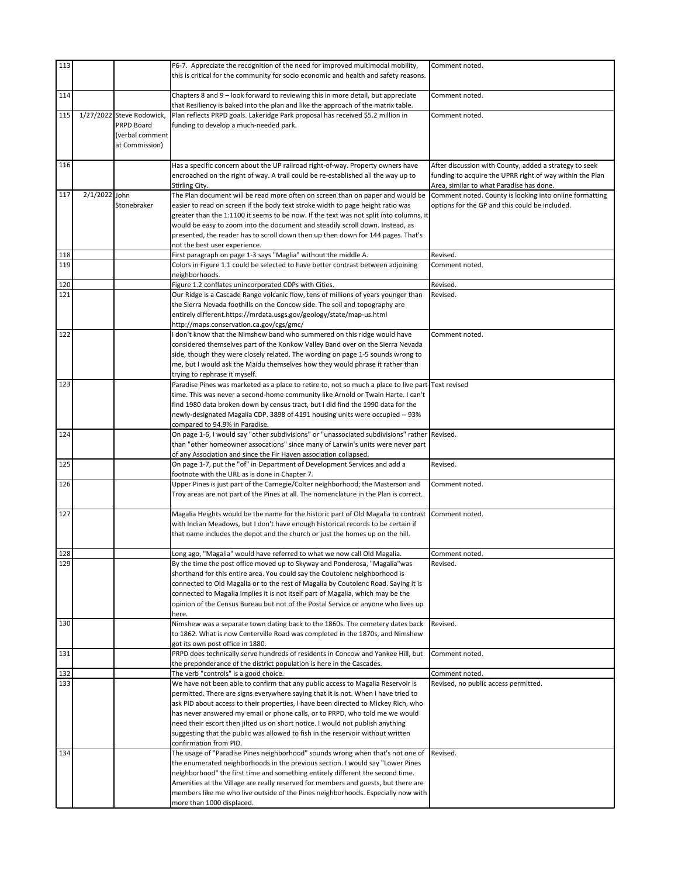| 113        |               |                                         | P6-7. Appreciate the recognition of the need for improved multimodal mobility,                                                                                                  | Comment noted.                                                                                      |
|------------|---------------|-----------------------------------------|---------------------------------------------------------------------------------------------------------------------------------------------------------------------------------|-----------------------------------------------------------------------------------------------------|
|            |               |                                         | this is critical for the community for socio economic and health and safety reasons.                                                                                            |                                                                                                     |
| 114        |               |                                         | Chapters 8 and 9 – look forward to reviewing this in more detail, but appreciate                                                                                                | Comment noted.                                                                                      |
|            |               |                                         | that Resiliency is baked into the plan and like the approach of the matrix table.                                                                                               |                                                                                                     |
| 115        |               | 1/27/2022 Steve Rodowick,<br>PRPD Board | Plan reflects PRPD goals. Lakeridge Park proposal has received \$5.2 million in<br>funding to develop a much-needed park.                                                       | Comment noted.                                                                                      |
|            |               | (verbal comment                         |                                                                                                                                                                                 |                                                                                                     |
|            |               | at Commission)                          |                                                                                                                                                                                 |                                                                                                     |
| 116        |               |                                         | Has a specific concern about the UP railroad right-of-way. Property owners have                                                                                                 | After discussion with County, added a strategy to seek                                              |
|            |               |                                         | encroached on the right of way. A trail could be re-established all the way up to                                                                                               | funding to acquire the UPRR right of way within the Plan                                            |
| 117        | 2/1/2022 John |                                         | Stirling City.<br>The Plan document will be read more often on screen than on paper and would be                                                                                | Area, similar to what Paradise has done.<br>Comment noted. County is looking into online formatting |
|            |               | Stonebraker                             | easier to read on screen if the body text stroke width to page height ratio was                                                                                                 | options for the GP and this could be included.                                                      |
|            |               |                                         | greater than the 1:1100 it seems to be now. If the text was not split into columns, it                                                                                          |                                                                                                     |
|            |               |                                         | would be easy to zoom into the document and steadily scroll down. Instead, as<br>presented, the reader has to scroll down then up then down for 144 pages. That's               |                                                                                                     |
|            |               |                                         | not the best user experience.                                                                                                                                                   |                                                                                                     |
| 118        |               |                                         | First paragraph on page 1-3 says "Maglia" without the middle A.                                                                                                                 | Revised.                                                                                            |
| 119        |               |                                         | Colors in Figure 1.1 could be selected to have better contrast between adjoining<br>neighborhoods.                                                                              | Comment noted.                                                                                      |
| 120        |               |                                         | Figure 1.2 conflates unincorporated CDPs with Cities.                                                                                                                           | Revised.                                                                                            |
| 121        |               |                                         | Our Ridge is a Cascade Range volcanic flow, tens of millions of years younger than<br>the Sierra Nevada foothills on the Concow side. The soil and topography are               | Revised.                                                                                            |
|            |               |                                         | entirely different.https://mrdata.usgs.gov/geology/state/map-us.html                                                                                                            |                                                                                                     |
| 122        |               |                                         | http://maps.conservation.ca.gov/cgs/gmc/                                                                                                                                        |                                                                                                     |
|            |               |                                         | I don't know that the Nimshew band who summered on this ridge would have<br>considered themselves part of the Konkow Valley Band over on the Sierra Nevada                      | Comment noted.                                                                                      |
|            |               |                                         | side, though they were closely related. The wording on page 1-5 sounds wrong to                                                                                                 |                                                                                                     |
|            |               |                                         | me, but I would ask the Maidu themselves how they would phrase it rather than<br>trying to rephrase it myself.                                                                  |                                                                                                     |
| 123        |               |                                         | Paradise Pines was marketed as a place to retire to, not so much a place to live part-Text revised                                                                              |                                                                                                     |
|            |               |                                         | time. This was never a second-home community like Arnold or Twain Harte. I can't                                                                                                |                                                                                                     |
|            |               |                                         | find 1980 data broken down by census tract, but I did find the 1990 data for the<br>newly-designated Magalia CDP. 3898 of 4191 housing units were occupied -- 93%               |                                                                                                     |
|            |               |                                         | compared to 94.9% in Paradise.                                                                                                                                                  |                                                                                                     |
| 124        |               |                                         | On page 1-6, I would say "other subdivisions" or "unassociated subdivisions" rather Revised.<br>than "other homeowner assocations" since many of Larwin's units were never part |                                                                                                     |
|            |               |                                         | of any Association and since the Fir Haven association collapsed.                                                                                                               |                                                                                                     |
| 125        |               |                                         | On page 1-7, put the "of" in Department of Development Services and add a<br>footnote with the URL as is done in Chapter 7.                                                     | Revised.                                                                                            |
| 126        |               |                                         | Upper Pines is just part of the Carnegie/Colter neighborhood; the Masterson and                                                                                                 | Comment noted.                                                                                      |
|            |               |                                         | Troy areas are not part of the Pines at all. The nomenclature in the Plan is correct.                                                                                           |                                                                                                     |
| 127        |               |                                         | Magalia Heights would be the name for the historic part of Old Magalia to contrast   Comment noted.                                                                             |                                                                                                     |
|            |               |                                         | with Indian Meadows, but I don't have enough historical records to be certain if<br>that name includes the depot and the church or just the homes up on the hill.               |                                                                                                     |
|            |               |                                         |                                                                                                                                                                                 |                                                                                                     |
| 128<br>129 |               |                                         | Long ago, "Magalia" would have referred to what we now call Old Magalia.                                                                                                        | Comment noted.                                                                                      |
|            |               |                                         | By the time the post office moved up to Skyway and Ponderosa, "Magalia"was<br>shorthand for this entire area. You could say the Coutolenc neighborhood is                       | Revised.                                                                                            |
|            |               |                                         | connected to Old Magalia or to the rest of Magalia by Coutolenc Road. Saying it is                                                                                              |                                                                                                     |
|            |               |                                         | connected to Magalia implies it is not itself part of Magalia, which may be the<br>opinion of the Census Bureau but not of the Postal Service or anyone who lives up            |                                                                                                     |
|            |               |                                         | here.                                                                                                                                                                           |                                                                                                     |
| 130        |               |                                         | Nimshew was a separate town dating back to the 1860s. The cemetery dates back<br>to 1862. What is now Centerville Road was completed in the 1870s, and Nimshew                  | Revised.                                                                                            |
|            |               |                                         | got its own post office in 1880.                                                                                                                                                |                                                                                                     |
| 131        |               |                                         | PRPD does technically serve hundreds of residents in Concow and Yankee Hill, but                                                                                                | Comment noted.                                                                                      |
| 132        |               |                                         | the preponderance of the district population is here in the Cascades.<br>The verb "controls" is a good choice.                                                                  | Comment noted.                                                                                      |
| 133        |               |                                         | We have not been able to confirm that any public access to Magalia Reservoir is                                                                                                 | Revised, no public access permitted.                                                                |
|            |               |                                         | permitted. There are signs everywhere saying that it is not. When I have tried to<br>ask PID about access to their properties, I have been directed to Mickey Rich, who         |                                                                                                     |
|            |               |                                         | has never answered my email or phone calls, or to PRPD, who told me we would                                                                                                    |                                                                                                     |
|            |               |                                         | need their escort then jilted us on short notice. I would not publish anything                                                                                                  |                                                                                                     |
|            |               |                                         | suggesting that the public was allowed to fish in the reservoir without written<br>confirmation from PID.                                                                       |                                                                                                     |
| 134        |               |                                         | The usage of "Paradise Pines neighborhood" sounds wrong when that's not one of                                                                                                  | Revised.                                                                                            |
|            |               |                                         | the enumerated neighborhoods in the previous section. I would say "Lower Pines<br>neighborhood" the first time and something entirely different the second time.                |                                                                                                     |
|            |               |                                         | Amenities at the Village are really reserved for members and guests, but there are                                                                                              |                                                                                                     |
|            |               |                                         | members like me who live outside of the Pines neighborhoods. Especially now with<br>more than 1000 displaced.                                                                   |                                                                                                     |
|            |               |                                         |                                                                                                                                                                                 |                                                                                                     |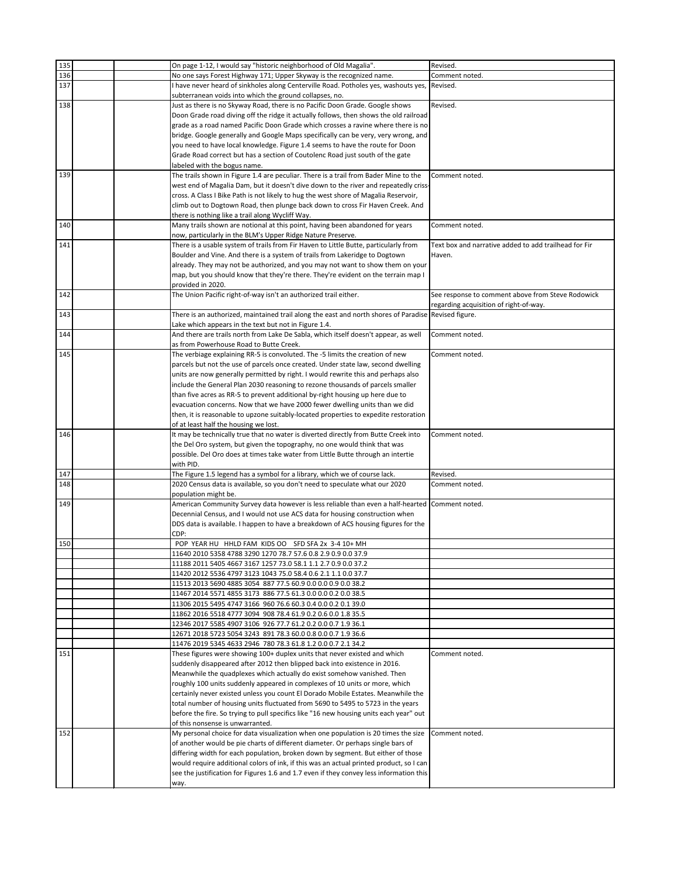| 135 | On page 1-12, I would say "historic neighborhood of Old Magalia".                                      | Revised.                                              |
|-----|--------------------------------------------------------------------------------------------------------|-------------------------------------------------------|
| 136 | No one says Forest Highway 171; Upper Skyway is the recognized name.                                   | Comment noted.                                        |
| 137 | I have never heard of sinkholes along Centerville Road. Potholes yes, washouts yes,                    | Revised.                                              |
|     | subterranean voids into which the ground collapses, no.                                                |                                                       |
| 138 | Just as there is no Skyway Road, there is no Pacific Doon Grade. Google shows                          | Revised.                                              |
|     | Doon Grade road diving off the ridge it actually follows, then shows the old railroad                  |                                                       |
|     | grade as a road named Pacific Doon Grade which crosses a ravine where there is no                      |                                                       |
|     | bridge. Google generally and Google Maps specifically can be very, very wrong, and                     |                                                       |
|     | you need to have local knowledge. Figure 1.4 seems to have the route for Doon                          |                                                       |
|     | Grade Road correct but has a section of Coutolenc Road just south of the gate                          |                                                       |
|     | labeled with the bogus name.                                                                           |                                                       |
| 139 | The trails shown in Figure 1.4 are peculiar. There is a trail from Bader Mine to the                   | Comment noted.                                        |
|     | west end of Magalia Dam, but it doesn't dive down to the river and repeatedly criss-                   |                                                       |
|     | cross. A Class I Bike Path is not likely to hug the west shore of Magalia Reservoir,                   |                                                       |
|     | climb out to Dogtown Road, then plunge back down to cross Fir Haven Creek. And                         |                                                       |
|     | there is nothing like a trail along Wycliff Way.                                                       |                                                       |
| 140 | Many trails shown are notional at this point, having been abandoned for years                          | Comment noted.                                        |
|     | now, particularly in the BLM's Upper Ridge Nature Preserve.                                            |                                                       |
| 141 | There is a usable system of trails from Fir Haven to Little Butte, particularly from                   | Text box and narrative added to add trailhead for Fir |
|     | Boulder and Vine. And there is a system of trails from Lakeridge to Dogtown                            | Haven.                                                |
|     | already. They may not be authorized, and you may not want to show them on your                         |                                                       |
|     | map, but you should know that they're there. They're evident on the terrain map I                      |                                                       |
|     | provided in 2020.                                                                                      |                                                       |
| 142 | The Union Pacific right-of-way isn't an authorized trail either.                                       | See response to comment above from Steve Rodowick     |
|     |                                                                                                        | regarding acquisition of right-of-way.                |
| 143 | There is an authorized, maintained trail along the east and north shores of Paradise   Revised figure. |                                                       |
|     | Lake which appears in the text but not in Figure 1.4.                                                  |                                                       |
| 144 | And there are trails north from Lake De Sabla, which itself doesn't appear, as well                    | Comment noted.                                        |
|     | as from Powerhouse Road to Butte Creek.                                                                |                                                       |
| 145 | The verbiage explaining RR-5 is convoluted. The -5 limits the creation of new                          | Comment noted.                                        |
|     | parcels but not the use of parcels once created. Under state law, second dwelling                      |                                                       |
|     | units are now generally permitted by right. I would rewrite this and perhaps also                      |                                                       |
|     | include the General Plan 2030 reasoning to rezone thousands of parcels smaller                         |                                                       |
|     | than five acres as RR-5 to prevent additional by-right housing up here due to                          |                                                       |
|     | evacuation concerns. Now that we have 2000 fewer dwelling units than we did                            |                                                       |
|     | then, it is reasonable to upzone suitably-located properties to expedite restoration                   |                                                       |
|     | of at least half the housing we lost.                                                                  |                                                       |
| 146 | It may be technically true that no water is diverted directly from Butte Creek into                    | Comment noted.                                        |
|     | the Del Oro system, but given the topography, no one would think that was                              |                                                       |
|     | possible. Del Oro does at times take water from Little Butte through an intertie                       |                                                       |
|     | with PID.                                                                                              |                                                       |
| 147 | The Figure 1.5 legend has a symbol for a library, which we of course lack.                             | Revised.                                              |
| 148 | 2020 Census data is available, so you don't need to speculate what our 2020                            | Comment noted.                                        |
|     | population might be.                                                                                   |                                                       |
| 149 | American Community Survey data however is less reliable than even a half-hearted Comment noted.        |                                                       |
|     | Decennial Census, and I would not use ACS data for housing construction when                           |                                                       |
|     | DDS data is available. I happen to have a breakdown of ACS housing figures for the                     |                                                       |
|     | CDP:                                                                                                   |                                                       |
| 150 | POP YEAR HU HHLD FAM KIDS OO SFD SFA 2x 3-4 10+ MH                                                     |                                                       |
|     | 11640 2010 5358 4788 3290 1270 78.7 57.6 0.8 2.9 0.9 0.0 37.9                                          |                                                       |
|     | 11188 2011 5405 4667 3167 1257 73.0 58.1 1.1 2.7 0.9 0.0 37.2                                          |                                                       |
|     | 11420 2012 5536 4797 3123 1043 75.0 58.4 0.6 2.1 1.1 0.0 37.7                                          |                                                       |
|     | 11513 2013 5690 4885 3054 887 77.5 60.9 0.0 0.0 0.9 0.0 38.2                                           |                                                       |
|     | 11467 2014 5571 4855 3173 886 77.5 61.3 0.0 0.0 0.2 0.0 38.5                                           |                                                       |
|     | 11306 2015 5495 4747 3166 960 76.6 60.3 0.4 0.0 0.2 0.1 39.0                                           |                                                       |
|     | 11862 2016 5518 4777 3094 908 78.4 61.9 0.2 0.6 0.0 1.8 35.5                                           |                                                       |
|     | 12346 2017 5585 4907 3106 926 77.7 61.2 0.2 0.0 0.7 1.9 36.1                                           |                                                       |
|     | 12671 2018 5723 5054 3243 891 78.3 60.0 0.8 0.0 0.7 1.9 36.6                                           |                                                       |
|     | 11476 2019 5345 4633 2946 780 78.3 61.8 1.2 0.0 0.7 2.1 34.2                                           |                                                       |
| 151 | These figures were showing 100+ duplex units that never existed and which                              | Comment noted.                                        |
|     | suddenly disappeared after 2012 then blipped back into existence in 2016.                              |                                                       |
|     | Meanwhile the quadplexes which actually do exist somehow vanished. Then                                |                                                       |
|     | roughly 100 units suddenly appeared in complexes of 10 units or more, which                            |                                                       |
|     | certainly never existed unless you count El Dorado Mobile Estates. Meanwhile the                       |                                                       |
|     | total number of housing units fluctuated from 5690 to 5495 to 5723 in the years                        |                                                       |
|     | before the fire. So trying to pull specifics like "16 new housing units each year" out                 |                                                       |
|     | of this nonsense is unwarranted.                                                                       |                                                       |
| 152 | My personal choice for data visualization when one population is 20 times the size                     | Comment noted.                                        |
|     | of another would be pie charts of different diameter. Or perhaps single bars of                        |                                                       |
|     | differing width for each population, broken down by segment. But either of those                       |                                                       |
|     | would require additional colors of ink, if this was an actual printed product, so I can                |                                                       |
|     | see the justification for Figures 1.6 and 1.7 even if they convey less information this                |                                                       |
|     | way.                                                                                                   |                                                       |